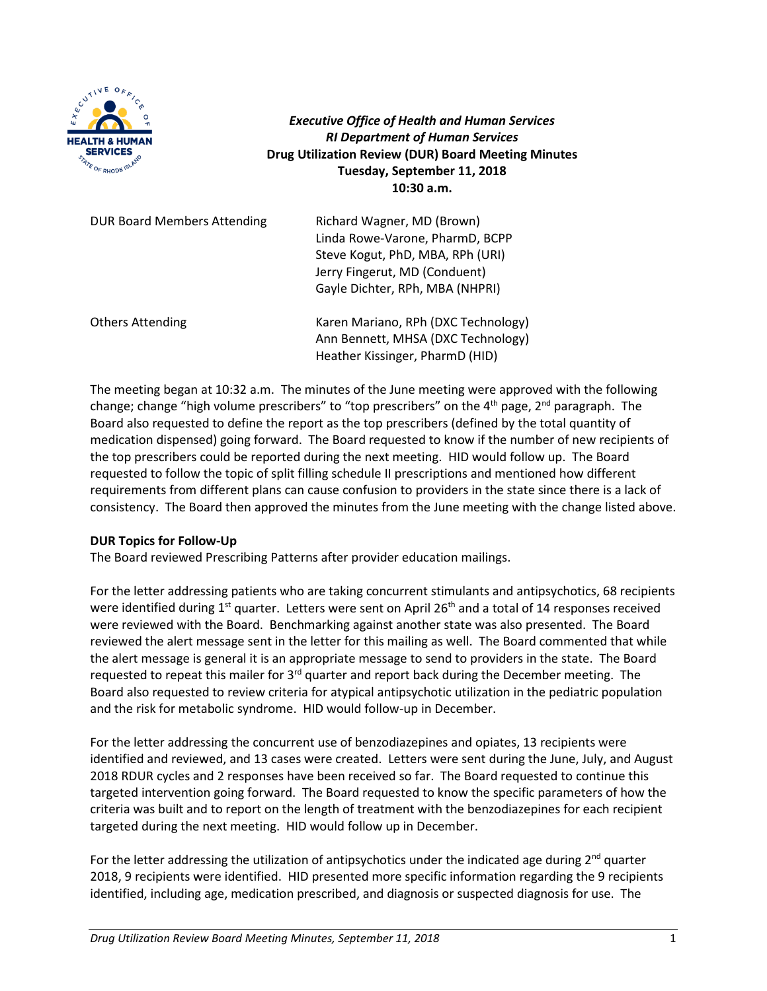

*Executive Office of Health and Human Services RI Department of Human Services* **Drug Utilization Review (DUR) Board Meeting Minutes Tuesday, September 11, 2018 10:30 a.m.**

| <b>DUR Board Members Attending</b> | Richard Wagner, MD (Brown)<br>Linda Rowe-Varone, PharmD, BCPP<br>Steve Kogut, PhD, MBA, RPh (URI)<br>Jerry Fingerut, MD (Conduent)<br>Gayle Dichter, RPh, MBA (NHPRI) |
|------------------------------------|-----------------------------------------------------------------------------------------------------------------------------------------------------------------------|
| <b>Others Attending</b>            | Karen Mariano, RPh (DXC Technology)<br>Ann Bennett, MHSA (DXC Technology)<br>Heather Kissinger, PharmD (HID)                                                          |

The meeting began at 10:32 a.m. The minutes of the June meeting were approved with the following change; change "high volume prescribers" to "top prescribers" on the 4<sup>th</sup> page, 2<sup>nd</sup> paragraph. The Board also requested to define the report as the top prescribers (defined by the total quantity of medication dispensed) going forward. The Board requested to know if the number of new recipients of the top prescribers could be reported during the next meeting. HID would follow up. The Board requested to follow the topic of split filling schedule II prescriptions and mentioned how different requirements from different plans can cause confusion to providers in the state since there is a lack of consistency. The Board then approved the minutes from the June meeting with the change listed above.

#### **DUR Topics for Follow-Up**

The Board reviewed Prescribing Patterns after provider education mailings.

For the letter addressing patients who are taking concurrent stimulants and antipsychotics, 68 recipients were identified during 1<sup>st</sup> quarter. Letters were sent on April 26<sup>th</sup> and a total of 14 responses received were reviewed with the Board. Benchmarking against another state was also presented. The Board reviewed the alert message sent in the letter for this mailing as well. The Board commented that while the alert message is general it is an appropriate message to send to providers in the state. The Board requested to repeat this mailer for 3<sup>rd</sup> quarter and report back during the December meeting. The Board also requested to review criteria for atypical antipsychotic utilization in the pediatric population and the risk for metabolic syndrome. HID would follow-up in December.

For the letter addressing the concurrent use of benzodiazepines and opiates, 13 recipients were identified and reviewed, and 13 cases were created. Letters were sent during the June, July, and August 2018 RDUR cycles and 2 responses have been received so far. The Board requested to continue this targeted intervention going forward. The Board requested to know the specific parameters of how the criteria was built and to report on the length of treatment with the benzodiazepines for each recipient targeted during the next meeting. HID would follow up in December.

For the letter addressing the utilization of antipsychotics under the indicated age during  $2^{nd}$  quarter 2018, 9 recipients were identified. HID presented more specific information regarding the 9 recipients identified, including age, medication prescribed, and diagnosis or suspected diagnosis for use. The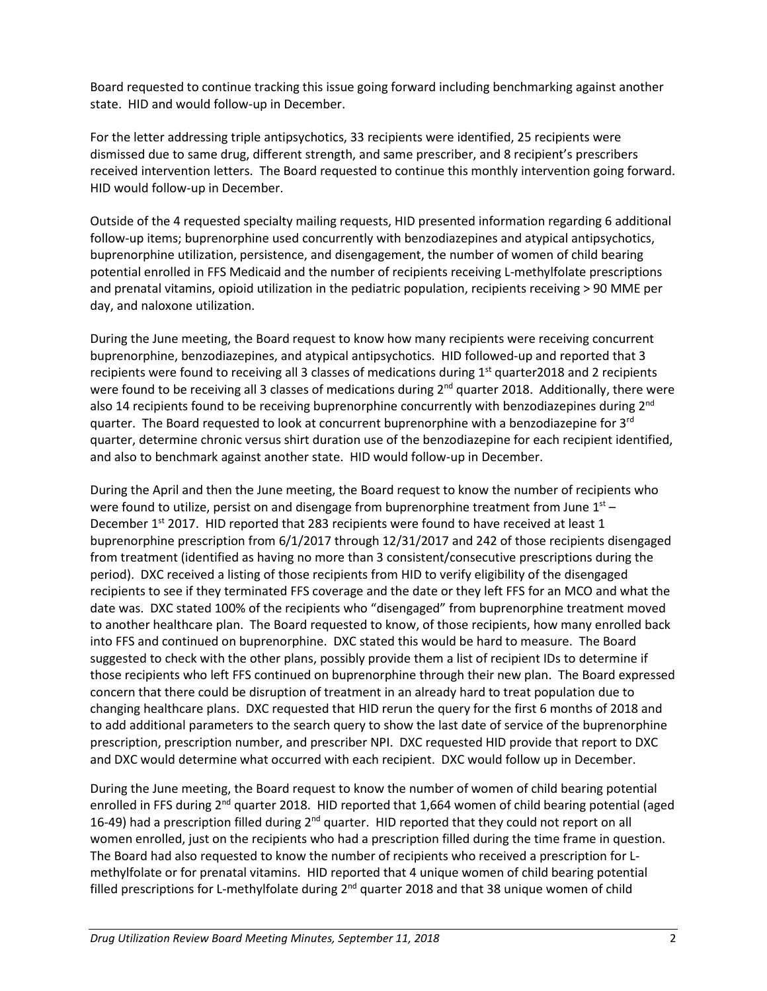Board requested to continue tracking this issue going forward including benchmarking against another state. HID and would follow-up in December.

For the letter addressing triple antipsychotics, 33 recipients were identified, 25 recipients were dismissed due to same drug, different strength, and same prescriber, and 8 recipient's prescribers received intervention letters. The Board requested to continue this monthly intervention going forward. HID would follow-up in December.

Outside of the 4 requested specialty mailing requests, HID presented information regarding 6 additional follow-up items; buprenorphine used concurrently with benzodiazepines and atypical antipsychotics, buprenorphine utilization, persistence, and disengagement, the number of women of child bearing potential enrolled in FFS Medicaid and the number of recipients receiving L-methylfolate prescriptions and prenatal vitamins, opioid utilization in the pediatric population, recipients receiving > 90 MME per day, and naloxone utilization.

During the June meeting, the Board request to know how many recipients were receiving concurrent buprenorphine, benzodiazepines, and atypical antipsychotics. HID followed-up and reported that 3 recipients were found to receiving all 3 classes of medications during  $1<sup>st</sup>$  quarter2018 and 2 recipients were found to be receiving all 3 classes of medications during 2<sup>nd</sup> quarter 2018. Additionally, there were also 14 recipients found to be receiving buprenorphine concurrently with benzodiazepines during  $2^{nd}$ quarter. The Board requested to look at concurrent buprenorphine with a benzodiazepine for 3<sup>rd</sup> quarter, determine chronic versus shirt duration use of the benzodiazepine for each recipient identified, and also to benchmark against another state. HID would follow-up in December.

During the April and then the June meeting, the Board request to know the number of recipients who were found to utilize, persist on and disengage from buprenorphine treatment from June  $1^{st}$  – December 1<sup>st</sup> 2017. HID reported that 283 recipients were found to have received at least 1 buprenorphine prescription from 6/1/2017 through 12/31/2017 and 242 of those recipients disengaged from treatment (identified as having no more than 3 consistent/consecutive prescriptions during the period). DXC received a listing of those recipients from HID to verify eligibility of the disengaged recipients to see if they terminated FFS coverage and the date or they left FFS for an MCO and what the date was. DXC stated 100% of the recipients who "disengaged" from buprenorphine treatment moved to another healthcare plan. The Board requested to know, of those recipients, how many enrolled back into FFS and continued on buprenorphine. DXC stated this would be hard to measure. The Board suggested to check with the other plans, possibly provide them a list of recipient IDs to determine if those recipients who left FFS continued on buprenorphine through their new plan. The Board expressed concern that there could be disruption of treatment in an already hard to treat population due to changing healthcare plans. DXC requested that HID rerun the query for the first 6 months of 2018 and to add additional parameters to the search query to show the last date of service of the buprenorphine prescription, prescription number, and prescriber NPI. DXC requested HID provide that report to DXC and DXC would determine what occurred with each recipient. DXC would follow up in December.

During the June meeting, the Board request to know the number of women of child bearing potential enrolled in FFS during 2<sup>nd</sup> quarter 2018. HID reported that 1,664 women of child bearing potential (aged 16-49) had a prescription filled during 2<sup>nd</sup> quarter. HID reported that they could not report on all women enrolled, just on the recipients who had a prescription filled during the time frame in question. The Board had also requested to know the number of recipients who received a prescription for Lmethylfolate or for prenatal vitamins. HID reported that 4 unique women of child bearing potential filled prescriptions for L-methylfolate during  $2^{nd}$  quarter 2018 and that 38 unique women of child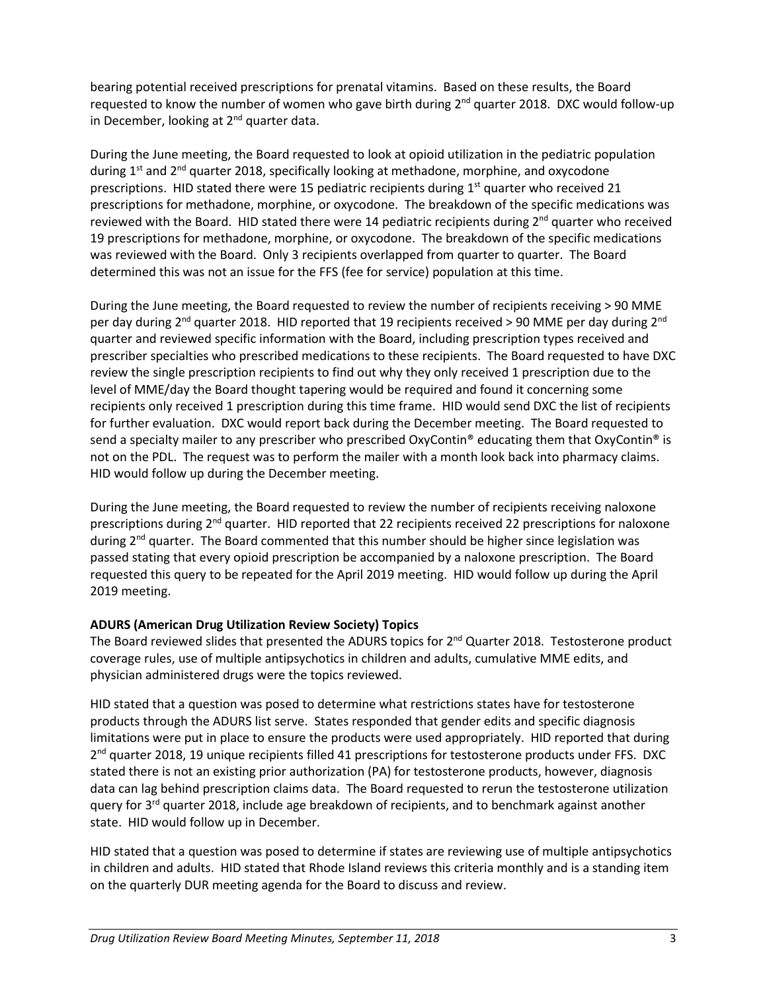bearing potential received prescriptions for prenatal vitamins. Based on these results, the Board requested to know the number of women who gave birth during 2<sup>nd</sup> quarter 2018. DXC would follow-up in December, looking at  $2<sup>nd</sup>$  quarter data.

During the June meeting, the Board requested to look at opioid utilization in the pediatric population during  $1^{st}$  and  $2^{nd}$  quarter 2018, specifically looking at methadone, morphine, and oxycodone prescriptions. HID stated there were 15 pediatric recipients during  $1<sup>st</sup>$  quarter who received 21 prescriptions for methadone, morphine, or oxycodone. The breakdown of the specific medications was reviewed with the Board. HID stated there were 14 pediatric recipients during  $2<sup>nd</sup>$  quarter who received 19 prescriptions for methadone, morphine, or oxycodone. The breakdown of the specific medications was reviewed with the Board. Only 3 recipients overlapped from quarter to quarter. The Board determined this was not an issue for the FFS (fee for service) population at this time.

During the June meeting, the Board requested to review the number of recipients receiving > 90 MME per day during  $2^{nd}$  quarter 2018. HID reported that 19 recipients received > 90 MME per day during  $2^{nd}$ quarter and reviewed specific information with the Board, including prescription types received and prescriber specialties who prescribed medications to these recipients. The Board requested to have DXC review the single prescription recipients to find out why they only received 1 prescription due to the level of MME/day the Board thought tapering would be required and found it concerning some recipients only received 1 prescription during this time frame. HID would send DXC the list of recipients for further evaluation. DXC would report back during the December meeting. The Board requested to send a specialty mailer to any prescriber who prescribed OxyContin® educating them that OxyContin® is not on the PDL. The request was to perform the mailer with a month look back into pharmacy claims. HID would follow up during the December meeting.

During the June meeting, the Board requested to review the number of recipients receiving naloxone prescriptions during  $2<sup>nd</sup>$  quarter. HID reported that 22 recipients received 22 prescriptions for naloxone during  $2<sup>nd</sup>$  quarter. The Board commented that this number should be higher since legislation was passed stating that every opioid prescription be accompanied by a naloxone prescription. The Board requested this query to be repeated for the April 2019 meeting. HID would follow up during the April 2019 meeting.

# **ADURS (American Drug Utilization Review Society) Topics**

The Board reviewed slides that presented the ADURS topics for 2<sup>nd</sup> Quarter 2018. Testosterone product coverage rules, use of multiple antipsychotics in children and adults, cumulative MME edits, and physician administered drugs were the topics reviewed.

HID stated that a question was posed to determine what restrictions states have for testosterone products through the ADURS list serve. States responded that gender edits and specific diagnosis limitations were put in place to ensure the products were used appropriately. HID reported that during 2<sup>nd</sup> quarter 2018, 19 unique recipients filled 41 prescriptions for testosterone products under FFS. DXC stated there is not an existing prior authorization (PA) for testosterone products, however, diagnosis data can lag behind prescription claims data. The Board requested to rerun the testosterone utilization query for 3<sup>rd</sup> quarter 2018, include age breakdown of recipients, and to benchmark against another state. HID would follow up in December.

HID stated that a question was posed to determine if states are reviewing use of multiple antipsychotics in children and adults. HID stated that Rhode Island reviews this criteria monthly and is a standing item on the quarterly DUR meeting agenda for the Board to discuss and review.